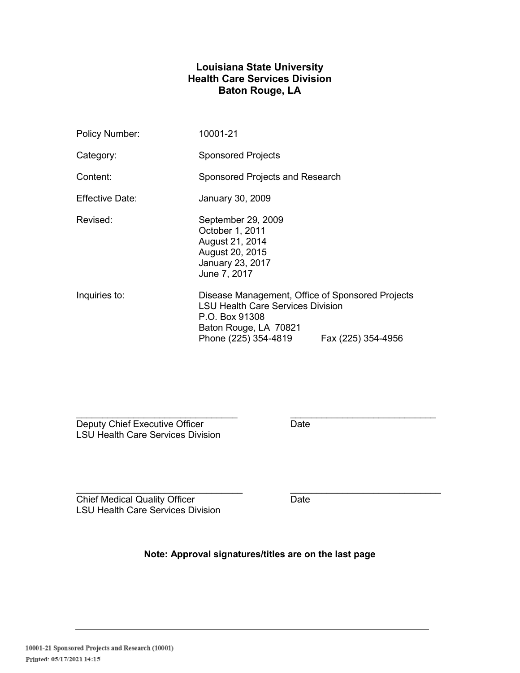# **Louisiana State University Health Care Services Division Baton Rouge, LA**

| Policy Number:  | 10001-21                                                                                                                                                                              |  |
|-----------------|---------------------------------------------------------------------------------------------------------------------------------------------------------------------------------------|--|
| Category:       | <b>Sponsored Projects</b>                                                                                                                                                             |  |
| Content:        | Sponsored Projects and Research                                                                                                                                                       |  |
| Effective Date: | January 30, 2009                                                                                                                                                                      |  |
| Revised:        | September 29, 2009<br>October 1, 2011<br>August 21, 2014<br>August 20, 2015<br>January 23, 2017<br>June 7, 2017                                                                       |  |
| Inquiries to:   | Disease Management, Office of Sponsored Projects<br><b>LSU Health Care Services Division</b><br>P.O. Box 91308<br>Baton Rouge, LA 70821<br>Phone (225) 354-4819<br>Fax (225) 354-4956 |  |

Deputy Chief Executive Officer **Date** Date LSU Health Care Services Division

\_\_\_\_\_\_\_\_\_\_\_\_\_\_\_\_\_\_\_\_\_\_\_\_\_\_\_\_\_\_\_\_ \_\_\_\_\_\_\_\_\_\_\_\_\_\_\_\_\_\_\_\_\_\_\_\_\_\_\_\_\_ Chief Medical Quality Officer **Date** LSU Health Care Services Division

**Note: Approval signatures/titles are on the last page** 

 $\mathcal{L}_\text{max}$  , and the contract of the contract of the contract of the contract of the contract of the contract of the contract of the contract of the contract of the contract of the contract of the contract of the contr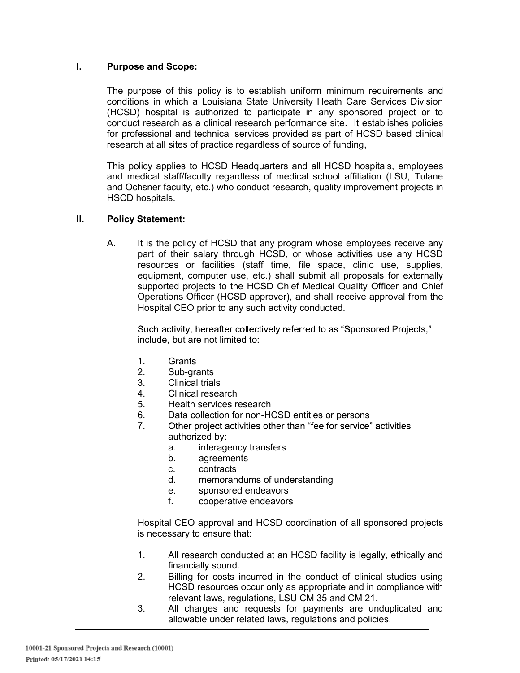## **I. Purpose and Scope:**

The purpose of this policy is to establish uniform minimum requirements and conditions in which a Louisiana State University Heath Care Services Division (HCSD) hospital is authorized to participate in any sponsored project or to conduct research as a clinical research performance site. It establishes policies for professional and technical services provided as part of HCSD based clinical research at all sites of practice regardless of source of funding,

This policy applies to HCSD Headquarters and all HCSD hospitals, employees and medical staff/faculty regardless of medical school affiliation (LSU, Tulane and Ochsner faculty, etc.) who conduct research, quality improvement projects in HSCD hospitals.

#### **II. Policy Statement:**

A. It is the policy of HCSD that any program whose employees receive any part of their salary through HCSD, or whose activities use any HCSD resources or facilities (staff time, file space, clinic use, supplies, equipment, computer use, etc.) shall submit all proposals for externally supported projects to the HCSD Chief Medical Quality Officer and Chief Operations Officer (HCSD approver), and shall receive approval from the Hospital CEO prior to any such activity conducted.

Such activity, hereafter collectively referred to as "Sponsored Projects," include, but are not limited to:

- 1. Grants
- 2. Sub-grants
- 3. Clinical trials
- 4. Clinical research
- 5. Health services research
- 6. Data collection for non-HCSD entities or persons
- 7. Other project activities other than "fee for service" activities authorized by:
	- a. interagency transfers
	- b. agreements
	- c. contracts
	- d. memorandums of understanding
	- e. sponsored endeavors
	- f. cooperative endeavors

Hospital CEO approval and HCSD coordination of all sponsored projects is necessary to ensure that:

- 1. All research conducted at an HCSD facility is legally, ethically and financially sound.
- 2. Billing for costs incurred in the conduct of clinical studies using HCSD resources occur only as appropriate and in compliance with relevant laws, regulations, LSU CM 35 and CM 21.
- 3. All charges and requests for payments are unduplicated and allowable under related laws, regulations and policies.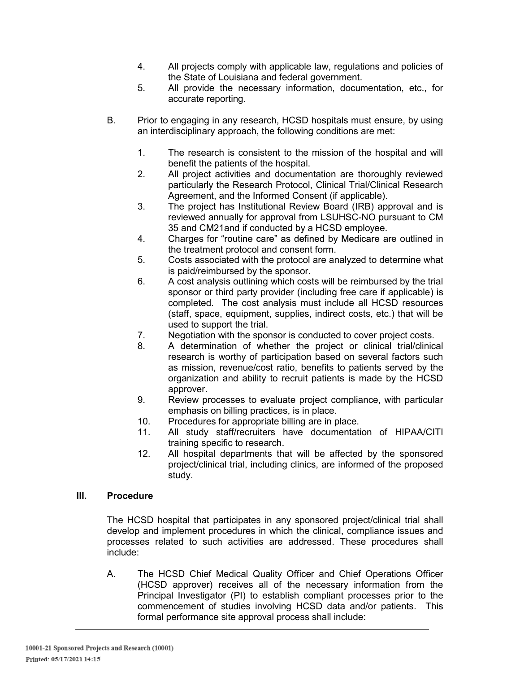- 4. All projects comply with applicable law, regulations and policies of the State of Louisiana and federal government.
- 5. All provide the necessary information, documentation, etc., for accurate reporting.
- B. Prior to engaging in any research, HCSD hospitals must ensure, by using an interdisciplinary approach, the following conditions are met:
	- 1. The research is consistent to the mission of the hospital and will benefit the patients of the hospital.
	- 2. All project activities and documentation are thoroughly reviewed particularly the Research Protocol, Clinical Trial/Clinical Research Agreement, and the Informed Consent (if applicable).
	- 3. The project has Institutional Review Board (IRB) approval and is reviewed annually for approval from LSUHSC-NO pursuant to CM 35 and CM21and if conducted by a HCSD employee.
	- 4. Charges for "routine care" as defined by Medicare are outlined in the treatment protocol and consent form.
	- 5. Costs associated with the protocol are analyzed to determine what is paid/reimbursed by the sponsor.
	- 6. A cost analysis outlining which costs will be reimbursed by the trial sponsor or third party provider (including free care if applicable) is completed. The cost analysis must include all HCSD resources (staff, space, equipment, supplies, indirect costs, etc.) that will be used to support the trial.
	- 7. Negotiation with the sponsor is conducted to cover project costs.
	- 8. A determination of whether the project or clinical trial/clinical research is worthy of participation based on several factors such as mission, revenue/cost ratio, benefits to patients served by the organization and ability to recruit patients is made by the HCSD approver.
	- 9. Review processes to evaluate project compliance, with particular emphasis on billing practices, is in place.
	- 10. Procedures for appropriate billing are in place.
	- 11. All study staff/recruiters have documentation of HIPAA/CITI training specific to research.
	- 12. All hospital departments that will be affected by the sponsored project/clinical trial, including clinics, are informed of the proposed study.

## **III. Procedure**

The HCSD hospital that participates in any sponsored project/clinical trial shall develop and implement procedures in which the clinical, compliance issues and processes related to such activities are addressed. These procedures shall include:

A. The HCSD Chief Medical Quality Officer and Chief Operations Officer (HCSD approver) receives all of the necessary information from the Principal Investigator (PI) to establish compliant processes prior to the commencement of studies involving HCSD data and/or patients. This formal performance site approval process shall include: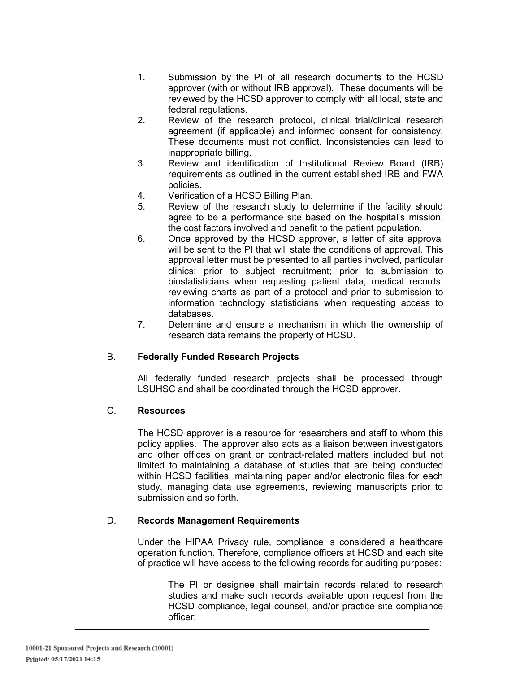- 1. Submission by the PI of all research documents to the HCSD approver (with or without IRB approval). These documents will be reviewed by the HCSD approver to comply with all local, state and federal regulations.
- 2. Review of the research protocol, clinical trial/clinical research agreement (if applicable) and informed consent for consistency. These documents must not conflict. Inconsistencies can lead to inappropriate billing.
- 3. Review and identification of Institutional Review Board (IRB) requirements as outlined in the current established IRB and FWA policies.
- 4. Verification of a HCSD Billing Plan.
- 5. Review of the research study to determine if the facility should agree to be a performance site based on the hospital's mission. the cost factors involved and benefit to the patient population.
- 6. Once approved by the HCSD approver, a letter of site approval will be sent to the PI that will state the conditions of approval. This approval letter must be presented to all parties involved, particular clinics; prior to subject recruitment; prior to submission to biostatisticians when requesting patient data, medical records, reviewing charts as part of a protocol and prior to submission to information technology statisticians when requesting access to databases.
- 7. Determine and ensure a mechanism in which the ownership of research data remains the property of HCSD.

## B. **Federally Funded Research Projects**

All federally funded research projects shall be processed through LSUHSC and shall be coordinated through the HCSD approver.

## C. **Resources**

The HCSD approver is a resource for researchers and staff to whom this policy applies. The approver also acts as a liaison between investigators and other offices on grant or contract-related matters included but not limited to maintaining a database of studies that are being conducted within HCSD facilities, maintaining paper and/or electronic files for each study, managing data use agreements, reviewing manuscripts prior to submission and so forth.

## D. **Records Management Requirements**

Under the HIPAA Privacy rule, compliance is considered a healthcare operation function. Therefore, compliance officers at HCSD and each site of practice will have access to the following records for auditing purposes:

The PI or designee shall maintain records related to research studies and make such records available upon request from the HCSD compliance, legal counsel, and/or practice site compliance officer: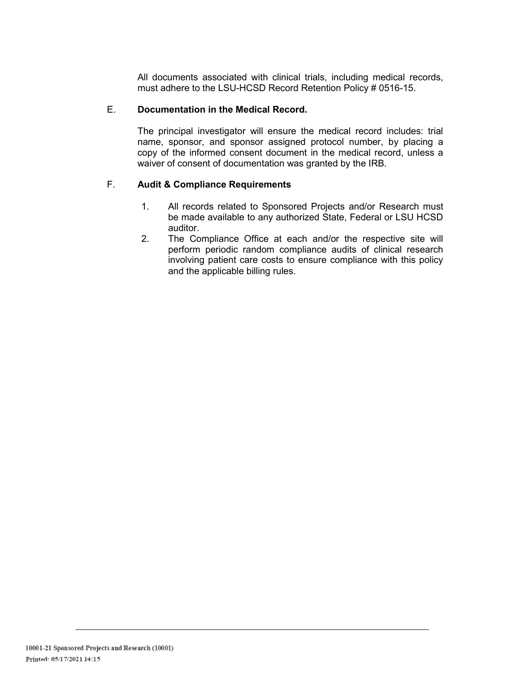All documents associated with clinical trials, including medical records, must adhere to the LSU-HCSD Record Retention Policy # 0516-15.

## E. **Documentation in the Medical Record.**

The principal investigator will ensure the medical record includes: trial name, sponsor, and sponsor assigned protocol number, by placing a copy of the informed consent document in the medical record, unless a waiver of consent of documentation was granted by the IRB.

#### F. **Audit & Compliance Requirements**

- 1. All records related to Sponsored Projects and/or Research must be made available to any authorized State, Federal or LSU HCSD auditor.
- 2. The Compliance Office at each and/or the respective site will perform periodic random compliance audits of clinical research involving patient care costs to ensure compliance with this policy and the applicable billing rules.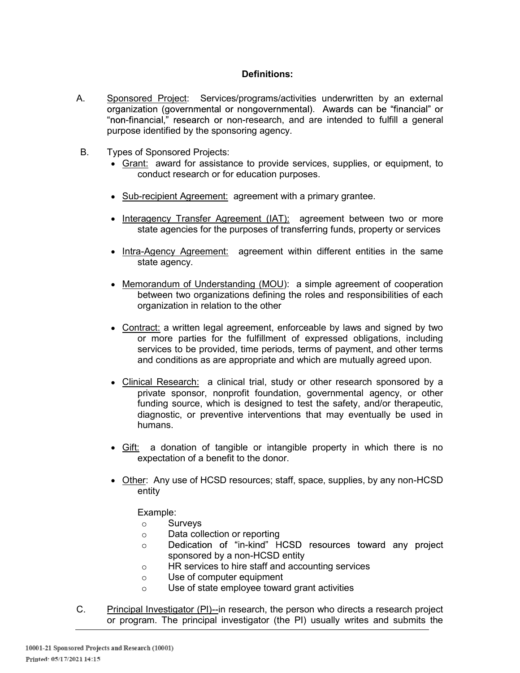## **Definitions:**

- A. Shonsored Project: Services/programs/activities underwritten by an external organization (governmental or nongovernmental). Awards can be "financial" or "non-financial," research or non-research, and are intended to fulfill a general purpose identified by the sponsoring agency.
- B. Types of Sponsored Projects:
	- Grant: award for assistance to provide services, supplies, or equipment, to conduct research or for education purposes.
	- Sub-recipient Agreement: agreement with a primary grantee.
	- Interagency Transfer Agreement (IAT): agreement between two or more state agencies for the purposes of transferring funds, property or services
	- Intra-Agency Agreement: agreement within different entities in the same state agency.
	- Memorandum of Understanding (MOU): a simple agreement of cooperation between two organizations defining the roles and responsibilities of each organization in relation to the other
	- Contract: a written legal agreement, enforceable by laws and signed by two or more parties for the fulfillment of expressed obligations, including services to be provided, time periods, terms of payment, and other terms and conditions as are appropriate and which are mutually agreed upon.
	- Clinical Research: a clinical trial, study or other research sponsored by a private sponsor, nonprofit foundation, governmental agency, or other funding source, which is designed to test the safety, and/or therapeutic, diagnostic, or preventive interventions that may eventually be used in humans.
	- Gift: a donation of tangible or intangible property in which there is no expectation of a benefit to the donor.
	- Other: Any use of HCSD resources; staff, space, supplies, by any non-HCSD entity

Example:

- o Surveys
- Data collection or reporting
- Dedication of "in-kind" HCSD resources toward any project  $\circ$ sponsored by a non-HCSD entity
- HR services to hire staff and accounting services
- Use of computer equipment
- Use of state employee toward grant activities
- C. Principal Investigator (PI)--in research, the person who directs a research project or program. The principal investigator (the PI) usually writes and submits the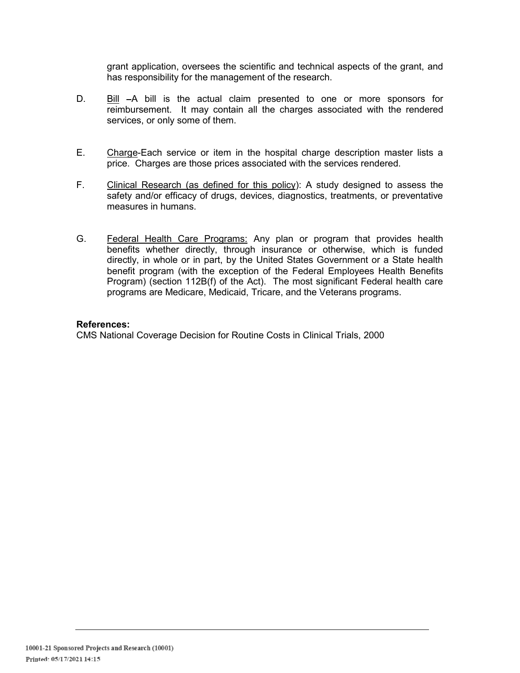grant application, oversees the scientific and technical aspects of the grant, and has responsibility for the management of the research.

- D. Bill -A bill is the actual claim presented to one or more sponsors for reimbursement. It may contain all the charges associated with the rendered services, or only some of them.
- E. Charge-Each service or item in the hospital charge description master lists a price. Charges are those prices associated with the services rendered.
- F. Clinical Research (as defined for this policy): A study designed to assess the safety and/or efficacy of drugs, devices, diagnostics, treatments, or preventative measures in humans.
- G. Federal Health Care Programs: Any plan or program that provides health benefits whether directly, through insurance or otherwise, which is funded directly, in whole or in part, by the United States Government or a State health benefit program (with the exception of the Federal Employees Health Benefits Program) (section 112B(f) of the Act). The most significant Federal health care programs are Medicare, Medicaid, Tricare, and the Veterans programs.

#### **References:**

CMS National Coverage Decision for Routine Costs in Clinical Trials, 2000